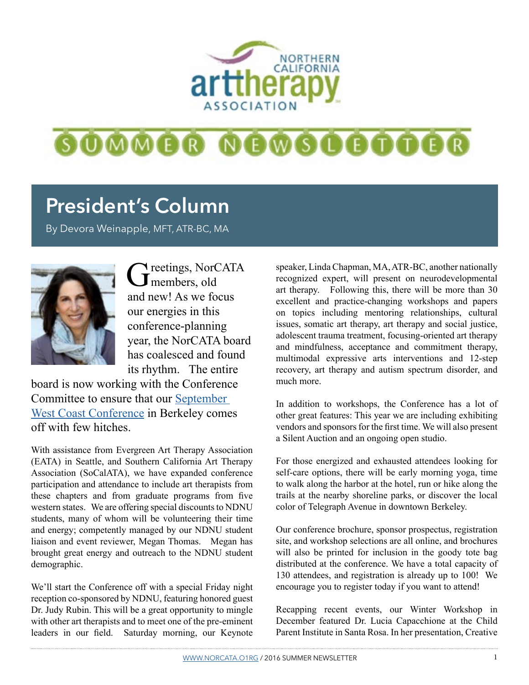

# 600000 000600000

## **President's Column**

By Devora Weinapple, MFT, ATR-BC, MA



Greetings, NorCATA and new! As we focus our energies in this conference-planning year, the NorCATA board has coalesced and found its rhythm. The entire

board is now working with the Conference Committee to ensure that our [September](http://www.norcata.org/2016-conference.html)  [West Coast Conference](http://www.norcata.org/2016-conference.html) in Berkeley comes off with few hitches.

With assistance from Evergreen Art Therapy Association (EATA) in Seattle, and Southern California Art Therapy Association (SoCalATA), we have expanded conference participation and attendance to include art therapists from these chapters and from graduate programs from five western states. We are offering special discounts to NDNU students, many of whom will be volunteering their time and energy; competently managed by our NDNU student liaison and event reviewer, Megan Thomas. Megan has brought great energy and outreach to the NDNU student demographic.

We'll start the Conference off with a special Friday night reception co-sponsored by NDNU, featuring honored guest Dr. Judy Rubin. This will be a great opportunity to mingle with other art therapists and to meet one of the pre-eminent leaders in our field. Saturday morning, our Keynote

speaker, Linda Chapman, MA, ATR-BC, another nationally recognized expert, will present on neurodevelopmental art therapy. Following this, there will be more than 30 excellent and practice-changing workshops and papers on topics including mentoring relationships, cultural issues, somatic art therapy, art therapy and social justice, adolescent trauma treatment, focusing-oriented art therapy and mindfulness, acceptance and commitment therapy, multimodal expressive arts interventions and 12-step recovery, art therapy and autism spectrum disorder, and much more.

In addition to workshops, the Conference has a lot of other great features: This year we are including exhibiting vendors and sponsors for the first time. We will also present a Silent Auction and an ongoing open studio.

For those energized and exhausted attendees looking for self-care options, there will be early morning yoga, time to walk along the harbor at the hotel, run or hike along the trails at the nearby shoreline parks, or discover the local color of Telegraph Avenue in downtown Berkeley.

Our conference brochure, sponsor prospectus, registration site, and workshop selections are all online, and brochures will also be printed for inclusion in the goody tote bag distributed at the conference. We have a total capacity of 130 attendees, and registration is already up to 100! We encourage you to register today if you want to attend!

Recapping recent events, our Winter Workshop in December featured Dr. Lucia Capacchione at the Child Parent Institute in Santa Rosa. In her presentation, Creative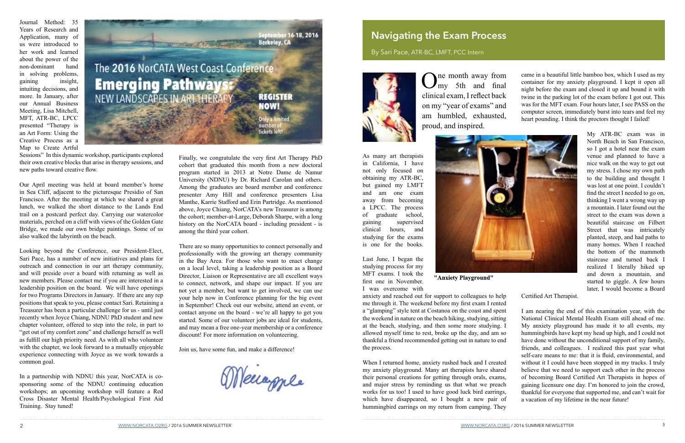Journal Method: 35 Years of Research and Application, many of us were introduced to her work and learned about the power of th[e](https://www.eventbrite.com/e/norcata-2016-west-coast-conference-new-landscapes-in-art-therapy-registration-20992362722)  non-dominant hand in solving problems, gaining insight, intuiting decisions, and more. In January, after our Annual Business Meeting, Lisa Mitchell, MFT, ATR-BC, LPCC presented "Therapy is an Art Form: Using the Creative Process as a Map to Create Artful



Sessions" In this dynamic workshop, participants explored their own creative blocks that arise in therapy sessions, and new paths toward creative flow.

Our April meeting was held at board member's home in Sea Cliff, adjacent to the picturesque Presidio of San Francisco. After the meeting at which we shared a great lunch, we walked the short distance to the Lands End trail on a postcard perfect day. Carrying our watercolor materials, perched on a cliff with views of the Golden Gate Bridge, we made our own bridge paintings. Some of us also walked the labyrinth on the beach.

One month away from<br>  $\sum_{m=1}^{\infty}$  5th and final clinical exam, I reflect back on my "year of exams" and am humbled, exhausted, proud, and inspired.

Looking beyond the Conference, our President-Elect, Sari Pace, has a number of new initiatives and plans for outreach and connection in our art therapy community, and will preside over a board with returning as well as new members. Please contact me if you are interested in a leadership position on the board. We will have openings for two Programs Directors in January. If there are any rep positions that speak to you, please contact Sari. Retaining a Treasurer has been a particular challenge for us - until just recently when Joyce Chiang, NDNU PhD student and new chapter volunteer, offered to step into the role, in part to "get out of my comfort zone" and challenge herself as well as fulfill our high priority need. As with all who volunteer with the chapter, we look forward to a mutually enjoyable experience connecting with Joyce as we work towards a common goal.

In a partnership with NDNU this year, NorCATA is cosponsoring some of the NDNU continuing education workshops; an upcoming workshop will feature a Red Cross Disaster Mental Health/Psychological First Aid Training. Stay tuned!

#### **Navigating the Exam Process**

By Sari Pace, ATR-BC, LMFT, PCC Intern



As many art therapists in California, I have not only focused on obtaining my ATR-BC, but gained my LMFT and am one exam away from becoming a LPCC. The process of graduate school, gaining supervised clinical hours, and studying for the exams is one for the books.

Last June, I began the studying process for my MFT exams. I took the first one in November. I was overcome with



"Anxiety Playground"

hummingbird earrings on my return from camping. They

came in a beautiful little bamboo box, which I used as my container for my anxiety playground. I kept it open all night before the exam and closed it up and bound it with twine in the parking lot of the exam before I got out. This was for the MFT exam. Four hours later, I see PASS on the computer screen, immediately burst into tears and feel my heart pounding. I think the proctors thought I failed!

anxiety and reached out for support to colleagues to help me through it. The weekend before my first exam I rented a "glamping" style tent at Costanoa on the coast and spent the weekend in nature on the beach hiking, studying, sitting at the beach, studying, and then some more studying. I allowed myself time to rest, broke up the day, and am so thankful a friend recommended getting out in nature to end the process. When I returned home, anxiety rushed back and I created my anxiety playground. Many art therapists have shared their personal creations for getting through orals, exams, and major stress by reminding us that what we preach works for us too! I used to have good luck bird earrings, which have disappeared, so I bought a new pair of Certified Art Therapist. I am nearing the end of this examination year, with the National Clinical Mental Health Exam still ahead of me. My anxiety playground has made it to all events, my hummingbirds have kept my head up high, and I could not have done without the unconditional support of my family, friends, and colleagues. I realized this past year what self-care means to me: that it is fluid, environmental, and without it I could have been stopped in my tracks. I truly believe that we need to support each other in the process of becoming Board Certified Art Therapists in hopes of gaining licensure one day. I'm honored to join the crowd, thankful for everyone that supported me, and can't wait for a vacation of my lifetime in the near future!

My ATR-BC exam was in North Beach in San Francisco, so I got a hotel near the exam venue and planned to have a nice walk on the way to get out my stress. I chose my own path to the building and thought I was lost at one point. I couldn't find the street I needed to go on, thinking I went a wrong way up a mountain. I later found out the street to the exam was down a beautiful staircase on Filbert Street that was intricately planted, steep, and had paths to many homes. When I reached the bottom of the mammoth staircase and turned back I realized I literally hiked up and down a mountain, and started to giggle. A few hours later, I would become a Board

Finally, we congratulate the very first Art Therapy PhD cohort that graduated this month from a new doctoral program started in 2013 at Notre Dame de Namur University (NDNU) by Dr. Richard Carolan and others. Among the graduates are board member and conference presenter Amy Hill and conference presenters Lisa Manthe, Karrie Stafford and Erin Partridge. As mentioned above, Joyce Chiang, NorCATA's new Treasurer is among the cohort; member-at-Large, Deborah Sharpe, with a long history on the NorCATA board - including president - is among the third year cohort.

There are so many opportunities to connect personally and professionally with the growing art therapy community in the Bay Area. For those who want to enact change on a local level, taking a leadership position as a Board Director, Liaison or Representative are all excellent ways to connect, network, and shape our impact. If you are not yet a member, but want to get involved, we can use your help now in Conference planning for the big event in September! Check out our website, attend an event, or contact anyone on the board - we're all happy to get you started. Some of our volunteer jobs are ideal for students, and may mean a free one-year membership or a conference discount! For more information on volunteering.

Join us, have some fun, and make a difference!

Meurople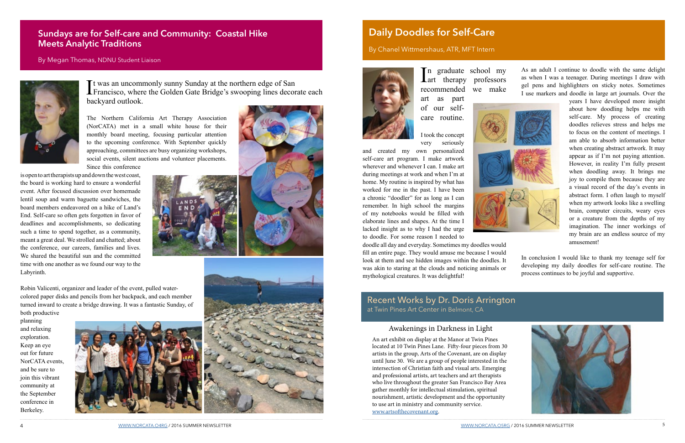It was an uncommonly sunny Sunday at the northern edge of San<br>Francisco, where the Golden Gate Bridge's swooping lines decorate each t was an uncommonly sunny Sunday at the northern edge of San backyard outlook.

The Northern California Art Therapy Association (NorCATA) met in a small white house for their monthly board meeting, focusing particular attention to the upcoming conference. With September quickly approaching, committees are busy organizing workshops, social events, silent auctions and volunteer placements. Since this conference

is open to art therapists up and down the west coast, the board is working hard to ensure a wonderful event. After focused discussion over homemade lentil soup and warm baguette sandwiches, the board members endeavored on a hike of Land's End. Self-care so often gets forgotten in favor of deadlines and accomplishments, so dedicating such a time to spend together, as a community, meant a great deal. We strolled and chatted; about the conference, our careers, families and lives. We shared the beautiful sun and the committed time with one another as we found our way to the Labyrinth.





In graduate school my<br>
art therapy professors n graduate school my recommended we make art as part of our selfcare routine.

Robin Valicenti, organizer and leader of the event, pulled watercolored paper disks and pencils from her backpack, and each member turned inward to create a bridge drawing. It was a fantastic Sunday, of

both productive planning and relaxing exploration. Keep an eye out for future NorCATA events, and be sure to join this vibrant community at the September conference in Berkeley.





#### **Sundays are for Self-care and Community: Coastal Hike Meets Analytic Traditions**

#### By Megan Thomas, NDNU Student Liaison



#### **Daily Doodles for Self-Care**

#### By Chanel Wittmershaus, ATR, MFT Intern



I took the concept very seriously

and created my own personalized self-care art program. I make artwork wherever and whenever I can. I make art during meetings at work and when I'm at home. My routine is inspired by what has worked for me in the past. I have been a chronic "doodler" for as long as I can remember. In high school the margins of my notebooks would be filled with elaborate lines and shapes. At the time I lacked insight as to why I had the urge to doodle. For some reason I needed to



doodle all day and everyday. Sometimes my doodles would fill an entire page. They would amuse me because I would look at them and see hidden images within the doodles. It was akin to staring at the clouds and noticing animals or mythological creatures. It was delightful!

As an adult I continue to doodle with the same delight as when I was a teenager. During meetings I draw with gel pens and highlighters on sticky notes. Sometimes I use markers and doodle in large art journals. Over the

years I have developed more insight about how doodling helps me with self-care. My process of creating doodles relieves stress and helps me to focus on the content of meetings. I am able to absorb information better when creating abstract artwork. It may appear as if I'm not paying attention. However, in reality I'm fully present when doodling away. It brings me joy to compile them because they are a visual record of the day's events in abstract form. I often laugh to myself when my artwork looks like a swelling brain, computer circuits, weary eyes or a creature from the depths of my imagination. The inner workings of my brain are an endless source of my amusement!

In conclusion I would like to thank my teenage self for developing my daily doodles for self-care routine. The process continues to be joyful and supportive.



#### Awakenings in Darkness in Light

An art exhibit on display at the Manor at Twin Pines located at 10 Twin Pines Lane. Fifty-four pieces from 30 artists in the group, Arts of the Covenant, are on display until June 30. We are a group of people interested in the intersection of Christian faith and visual arts. Emerging and professional artists, art teachers and art therapists who live throughout the greater San Francisco Bay Area gather monthly for intellectual stimulation, spiritual nourishment, artistic development and the opportunity to use art in ministry and community service. [www.artsofthecovenant.org.](http://www.artsofthecovenant.org/)

A [WWW.NORCATA.O4RG](http://www.norcata.org) / 2016 SUMMER NEWSLETTER STATES AND RESERVED FOR SUMMER NEWSLETTER STATES OF A SUMMER NEWSLETTER STATES OF A SUMMER NEWSLETTER STATES OF A SUMMER NEWSLETTER STATES OF A SUMMER NEWSLETTER STATES OF A SUMM

Recent Works by Dr. Doris Arrington at Twin Pines Art Center in Belmont, CA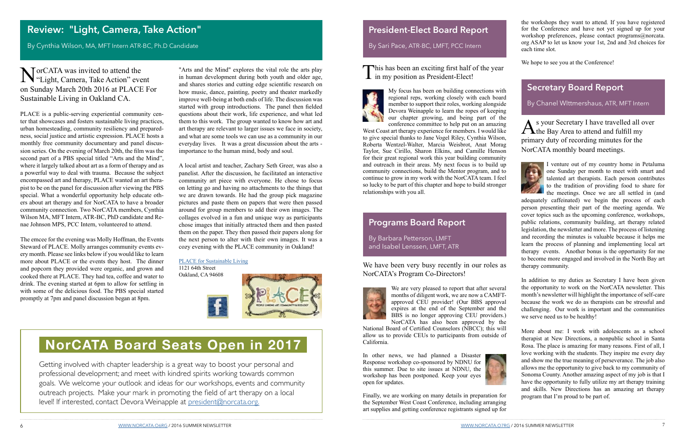My focus has been on building connections with regional reps, working closely with each board member to support their roles, working alongside Devora Weinapple to learn the ropes of keeping our chapter growing, and being part of the conference committee to help put on an amazing

West Coast art therapy experience for members. I would like to give special thanks to Jane Vogel Riley, Cynthia Wilson, Roberta Wentzel-Walter, Marcia Weisbrot, Anat Morag Taylor, Sue Cirillo, Sharon Elkins, and Camille Henson for their great regional work this year building community and outreach in their areas. My next focus is to build up community connections, build the Mentor program, and to continue to grow in my work with the NorCATA team. I feel so lucky to be part of this chapter and hope to build stronger relationships with you all.

MorCATA was invited to attend the<br>
"Light, Camera, Take Action" event on Sunday March 20th 2016 at PLACE For Sustainable Living in Oakland CA.

"Arts and the Mind" explores the vital role the arts play in human development during both youth and older age, and shares stories and cutting edge scientific research on how music, dance, painting, poetry and theater markedly improve well-being at both ends of life. The discussion was started with group introductions. The panel then fielded questions about their work, life experience, and what led them to this work. The group wanted to know how art and art therapy are relevant to larger issues we face in society, and what are some tools we can use as a community in our everyday lives. It was a great discussion about the arts importance to the human mind, body and soul.

A local artist and teacher, Zachary Seth Greer, was also a panelist. After the discussion, he facilitated an interactive community art piece with everyone. He chose to focus on letting go and having no attachments to the things that we are drawn towards. He had the group pick magazine pictures and paste them on papers that were then passed around for group members to add their own images. The collages evolved in a fun and unique way as participants chose images that initially attracted them and then pasted them on the paper. They then passed their papers along for the next person to alter with their own images. It was a cozy evening with the PLACE community in Oakland!

> We have been very busy recently in our roles as NorCATA's Program Co-Directors!



#### [PLACE for Sustainable Living](http://aplaceforsustainableliving.org/)

1121 64th Street Oakland, CA 94608



As your Secretary I have travelled all over<br>the Bay Area to attend and fulfill my primary duty of recording minutes for the NorCATA monthly board meetings.

I venture out of my country home in Petaluma one Sunday per month to meet with smart and talented art therapists. Each person contributes to the tradition of providing food to share for to the meetings. Once we are all settled in (and



PLACE is a public-serving experiential community center that showcases and fosters sustainable living practices, urban homesteading, community resiliency and preparedness, social justice and artistic expression. PLACE hosts a monthly free community documentary and panel discussion series. On the evening of March 20th, the film was the second part of a PBS special titled "Arts and the Mind", where it largely talked about art as a form of therapy and as a powerful way to deal with trauma. Because the subject encompassed art and therapy, PLACE wanted an art therapist to be on the panel for discussion after viewing the PBS special. What a wonderful opportunity help educate others about art therapy and for NorCATA to have a broader community connection. Two NorCATA members, Cynthia Wilson MA, MFT Intern, ATR-BC, PhD candidate and Renae Johnson MPS, PCC Intern, volunteered to attend.

The emcee for the evening was Molly Hoffman, the Events Steward of PLACE. Molly arranges community events every month. Please see links below if you would like to learn more about PLACE or the events they host. The dinner and popcorn they provided were organic, and grown and cooked there at PLACE. They had tea, coffee and water to drink. The evening started at 6pm to allow for settling in with some of the delicious food. The PBS special started promptly at 7pm and panel discussion began at 8pm.

By Cynthia Wilson, MA, MFT Intern ATR-BC, Ph.D Candidate

We are very pleased to report that after several months of diligent work, we are now a CAMFTapproved CEU provider! (Our BBS approval expires at the end of the September and the BBS is no longer approving CEU providers.) NorCATA has also been approved by the

National Board of Certified Counselors (NBCC); this will allow us to provide CEUs to participants from outside of California.

In other news, we had planned a Disaster Response workshop co-sponsored by NDNU for this summer. Due to site issues at NDNU, the workshop has been postponed. Keep your eyes open for updates.



Finally, we are working on many details in preparation for the September West Coast Conference, including arranging art supplies and getting conference registrants signed up for

#### **President-Elect Board Report**

By Sari Pace, ATR-BC, LMFT, PCC Intern

This has been an exciting first half of the year **1** in my position as President-Elect!



#### **Programs Board Report**

By Barbara Petterson, LMFT and Isabel Lenssen, LMFT, ATR adequately caffeinated) we begin the process of each person presenting their part of the meeting agenda. We cover topics such as the upcoming conference, workshops, public relations, community building, art therapy related legislation, the newsletter and more. The process of listening and recording the minutes is valuable because it helps me learn the process of planning and implementing local art therapy events. Another bonus is the opportunity for me to become more engaged and involved in the North Bay art therapy community.

In addition to my duties as Secretary I have been given the opportunity to work on the NorCATA newsletter. This month's newsletter will highlight the importance of self-care because the work we do as therapists can be stressful and challenging. Our work is important and the communities we serve need us to be healthy!

More about me: I work with adolescents as a school therapist at New Directions, a nonpublic school in Santa Rosa. The place is amazing for many reasons. First of all, I love working with the students. They inspire me every day and show me the true meaning of perseverance. The job also allows me the opportunity to give back to my community of Sonoma County. Another amazing aspect of my job is that I have the opportunity to fully utilize my art therapy training and skills. New Directions has an amazing art therapy program that I'm proud to be part of.

#### **Secretary Board Report**

By Chanel WIttmershaus, ATR, MFT Intern

## **NorCATA Board Seats Open in 2017**

Getting involved with chapter leadership is a great way to boost your personal and professional development; and meet with kindred spirits working towards common goals. We welcome your outlook and ideas for our workshops, events and community outreach projects. Make your mark in promoting the field of art therapy on a local level! If interested, contact Devora Weinapple at [president@norcata.org.](http://president@norcata.org )

the workshops they want to attend. If you have registered for the Conference and have not yet signed up for your workshop preferences, please contact programs@norcata. org ASAP to let us know your 1st, 2nd and 3rd choices for each time slot.

We hope to see you at the Conference!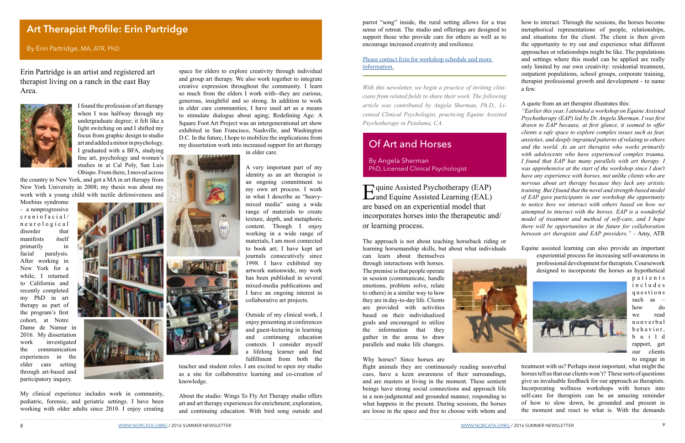space for elders to explore creativity through individual and group art therapy. We also work together to integrate creative expression throughout the community. I learn so much from the elders I work with--they are curious, generous, insightful and so strong. In addition to work in elder care communities, I have used art as a means to stimulate dialogue about aging; Redefining Age: A Square Foot Art Project was an intergenerational art show exhibited in San Francisco, Nashville, and Washington D.C. In the future, I hope to mobilize the implications from my dissertation work into increased support for art therapy

in elder care.

A very important part of my identity as an art therapist is an ongoing commitment to my own art process. I work in what I describe as "heavymixed media" using a wide range of materials to create texture, depth, and metaphoric content. Though I enjoy working in a wide range of materials, I am most connected to book art; I have kept art journals consecutively since 1998. I have exhibited my artwork nationwide, my work has been published in several mixed-media publications and I have an ongoing interest in collaborative art projects.

Outside of my clinical work, I enjoy presenting at conferences and guest-lecturing in learning and continuing education contexts. I consider myself a lifelong learner and find fulfillment from both the

teacher and student roles. I am excited to open my studio as a site for collaborative learning and co-creation of knowledge.

Equine Assisted Psychotherapy (EAP)<br>and Equine Assisted Learning (EAL) are based on an experiential model that incorporates horses into the therapeutic and/ or learning process.

About the studio: Wings To Fly Art Therapy studio offers art and art therapy experiences for enrichment, exploration, and continuing education. With bird song outside and

Erin Partridge is an artist and registered art therapist living on a ranch in the east Bay Area.



I found the profession of art therapy when I was halfway through my undergraduate degree; it felt like a light switching on and I shifted my focus from graphic design to studio art and added a minor in psychology. I graduated with a BFA, studying fine art, psychology and women's studies in at Cal Poly, San Luis Obispo. From there, I moved across

the country to New York, and got a MA in art therapy from New York University in 2008; my thesis was about my work with a young child with tactile defensiveness and

Moebius syndrome - a nonprogressive craniofacial/ n e u r o l o g i c a l disorder that manifests itself primarily in facial paralysis. After working in New York for a while, I returned to California and recently completed my PhD in art therapy as part of the program's first cohort, at Notre Dame de Namur in 2016. My dissertation work investigated the communication experiences in the elder care setting through art-based and participatory inquiry.



My clinical experience includes work in community, pediatric, forensic, and geriatric settings. I have been working with older adults since 2010. I enjoy creating The approach is not about teaching horseback riding or learning horsemanship skills, but about what individuals

can learn about themselves through interactions with horses. The premise is that people operate in session (communicate, handle emotions, problem solve, relate to others) in a similar way to how they are in day-to-day life. Clients are provided with activities based on their individualized goals and encouraged to utilize the information that they gather in the arena to draw parallels and make life changes.



flight animals they are continuously reading nonverbal cues, have a keen awareness of their surroundings, and are masters at living in the moment. These sentient beings have strong social connections and approach life in a non-judgmental and grounded manner, responding to what happens in the present. During sessions, the horses are loose in the space and free to choose with whom and treatment with us? Perhaps most important, what might the horses tell us that our clients won't? These sorts of questions give us invaluable feedback for our approach as therapists. Incorporating wellness workshops with horses into self-care for therapists can be an amazing reminder of how to slow down, be grounded and present in the moment and react to what is. With the demands

Why horses? Since horses are

#### Of Art and Horses

By Angela Sherman PhD, Licensed Clinical Psychologist

*With this newsletter, we begin a practice of inviting clinicians from related fields to share their work. The following article was contributed by Angela Sherman, Ph.D., Licensed Clinical Psychologist, practicing Equine Assisted Psychotherapy in Petaluma, CA.*

#### **Art Therapist Profile: Erin Partridge**

By Erin Partridge, MA, ATR, PhD

parrot "song" inside, the rural setting allows for a true sense of retreat. The studio and offerings are designed to support those who provide care for others as well as to encourage increased creativity and resilience.

[Please contact Erin for workshop schedule and more](erinpartridge@gmail.com)  [information.](erinpartridge@gmail.com)

how to interact. Through the sessions, the horses become metaphorical representations of people, relationships, and situations for the client. The client is then given the opportunity to try out and experience what different approaches or relationships might be like. The populations and settings where this model can be applied are really only limited by our own creativity: residential treatment, outpatient populations, school groups, corporate training, therapist professional growth and development - to name a few.

#### A quote from an art therapist illustrates this:

*"Earlier this year, I attended a workshop on Equine Assisted Psychotherapy (EAP) led by Dr. Angela Sherman. I was first drawn to EAP because, at first glance, it seemed to offer clients a safe space to explore complex issues such as fear, anxieties, and deeply ingrained patterns of relating to others and the world. As an art therapist who works primarily with adolescents who have experienced complex trauma, I found that EAP has many parallels with art therapy. I was apprehensive at the start of the workshop since I don't have any experience with horses, not unlike clients who are nervous about art therapy because they lack any artistic training. But I found that the novel and strength-based model of EAP gave participants in our workshop the opportunity to notice how we interact with others based on how we attempted to interact with the horses. EAP is a wonderful model of treatment and method of self-care, and I hope there will be opportunities in the future for collaboration between art therapists and EAP providers."* - Amy, ATR





p a t i e n t s i n c l u d e s q u e s t i o n s such as  $$ how do we read n o n v e r b a l b e h a v i o r , b u i l d rapport, get our clients to engage in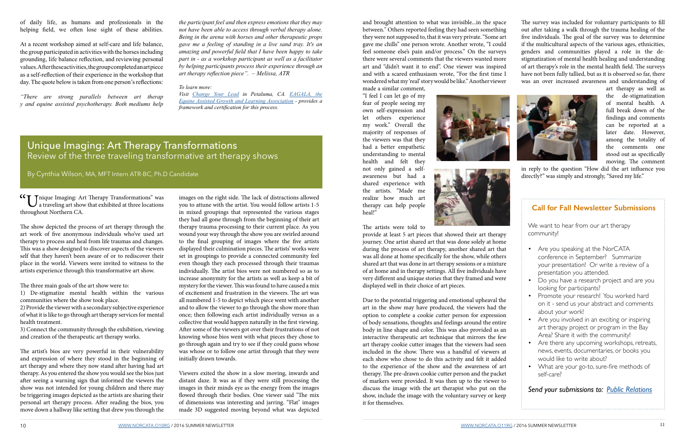The survey was included for voluntary participants to fill out after taking a walk through the trauma healing of the five individuals. The goal of the survey was to determine if the multicultural aspects of the various ages, ethnicities, genders and communities played a role in the destigmatization of mental health healing and understanding of art therapy's role in the mental health field. The surveys have not been fully tallied, but as it is observed so far, there was an over increased awareness and understanding of



in reply to the question "How did the art influence you directly?" was simply and strongly, "Saved my life."

art therapy as well as the de-stigmatization of mental health. A full break down of the findings and comments can be reported at a later date. However, among the totality of the comments one stood out as specifically moving. The comment

and brought attention to what was invisible...in the space between." Others reported feeling they had seen something they were not supposed to, that it was very private. "Some art gave me chills" one person wrote. Another wrote, "I could feel someone else's pain and/or process." On the surveys there were several comments that the viewers wanted more art and "didn't want it to end". One viewer was inspired and with a scared enthusiasm wrote, "For the first time I wondered what my 'real' story would be like." Another viewer made a similar comment,

"I feel I can let go of my fear of people seeing my own self-expression and let others experience my work." Overall the majority of responses of the viewers was that they had a better empathetic understanding to mental health and felt they not only gained a selfawareness but had a shared experience with the artists. "Made me realize how much art therapy can help people heal!"





#### The artists were told to

provide at least 5 art pieces that showed their art therapy journey. One artist shared art that was done solely at home during the process of art therapy, another shared art that was all done at home specifically for the show, while others shared art that was done in art therapy sessions or a mixture of at home and in therapy settings. All five individuals have very different and unique stories that they framed and were displayed well in their choice of art pieces.

Due to the potential triggering and emotional upheaval the art in the show may have produced, the viewers had the option to complete a cookie cutter person for expression of body sensations, thoughts and feelings around the entire body in line shape and color. This was also provided as an interactive therapeutic art technique that mirrors the few art therapy cookie cutter images that the viewers had seen included in the show. There was a handful of viewers at each show who chose to do this activity and felt it added to the experience of the show and the awareness of art therapy. The pre-drawn cookie cutter person and the packet of markers were provided. It was then up to the viewer to discuss the image with the art therapist who put on the show, include the image with the voluntary survey or keep it for themselves.

images on the right side. The lack of distractions allowed you to attune with the artist. You would follow artists 1-5 in mixed groupings that represented the various stages they had all gone through from the beginning of their art therapy trauma processing to their current place. As you wound your way through the show you are swirled around to the final grouping of images where the five artists displayed their culmination pieces. The artists' works were set in groupings to provide a connected community feel even though they each processed through their traumas individually. The artist bios were not numbered so as to increase anonymity for the artists as well as keep a bit of mystery for the viewer. This was found to have caused a mix of excitement and frustration in the viewers. The art was all numbered 1-5 to depict which piece went with another and to allow the viewer to go through the show more than once; then following each artist individually versus as a collective that would happen naturally in the first viewing. After some of the viewers got over their frustrations of not knowing whose bios went with what pieces they chose to go through again and try to see if they could guess whose was whose or to follow one artist through that they were initially drawn towards.

Viewers exited the show in a slow moving, inwards and distant daze. It was as if they were still processing the images in their minds eye as the energy from the images flowed through their bodies. One viewer said "The mix of dimensions was interesting and jarring. "Flat" images made 3D suggested moving beyond what was depicted

of daily life, as humans and professionals in the helping field, we often lose sight of these abilities.

At a recent workshop aimed at self-care and life balance, the group participated in activities with the horses including grounding, life balance reflection, and reviewing personal values. After these activities, the group completed an art piece as a self-reflection of their experience in the workshop that day. The quote below is taken from one person's reflections:

*"There are strong parallels between art therap y and equine assisted psychotherapy. Both mediums help* 

#### Unique Imaging: Art Therapy Transformations Review of the three traveling transformative art therapy shows

By Cynthia Wilson, MA, MFT Intern ATR-BC, Ph.D Candidate

"Unique Imaging: Art Therapy Transformations" was  $\overline{J}$  a traveling art show that exhibited at three locations throughout Northern CA.

The show depicted the process of art therapy through the art work of five anonymous individuals who've used art therapy to process and heal from life traumas and changes. This was a show designed to discover aspects of the viewers self that they haven't been aware of or to rediscover their place in the world. Viewers were invited to witness to the artists experience through this transformative art show.

The three main goals of the art show were to:

1) De-stigmatize mental health within the various communities where the show took place.

2) Provide the viewer with a secondary subjective experience of what it is like to go through art therapy services for mental health treatment.

3) Connect the community through the exhibition, viewing and creation of the therapeutic art therapy works.

The artist's bios are very powerful in their vulnerability and expression of where they stood in the beginning of art therapy and where they now stand after having had art therapy. As you entered the show you would see the bios just after seeing a warning sign that informed the viewers the show was not intended for young children and there may be triggering images depicted as the artists are sharing their personal art therapy process. After reading the bios, you move down a hallway like setting that drew you through the *the participant feel and then express emotions that they may not have been able to access through verbal therapy alone. Being in the arena with horses and other therapeutic props gave me a feeling of standing in a live sand tray. It's an amazing and powerful field that I have been happy to take part in - as a workshop participant as well as a facilitator by helping participants process their experience through an art therapy reflection piece". – Melissa, ATR*

#### *To learn more:*

*Visit [Change Your Lead](http://www.changeyourlead.com) in Petaluma, CA. [EAGALA, the](http://www.eagala.org) [Equine Assisted Growth and Learning Association](http://www.eagala.org) - provides a framework and certification for this process.*

#### **Call for Fall Newsletter Submissions**

We want to hear from our art therapy community!

- Are you speaking at the NorCATA conference in September? Summarize your presentation! Or write a review of a presentation you attended.
- Do you have a research project and are you looking for participants?
- Promote your research! You worked hard on it - send us your abstract and comments about your work!
- Are you involved in an exciting or inspiring art therapy project or program in the Bay Area? Share it with the community!
- Are there any upcoming workshops, retreats, news, events, documentaries, or books you would like to write about?
- What are your go-to, sure-fire methods of self-care?

*Send your submissions to: [Public Relations](http://public.relations@norcata.org)*

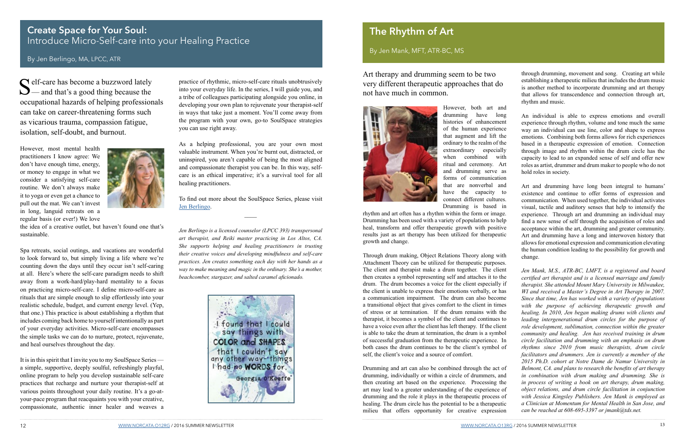Art therapy and drumming seem to be two very different therapeutic approaches that do not have much in common.



However, both art and drumming have long histories of enhancement of the human experience that augment and lift the ordinary to the realm of the extraordinary especially when combined with ritual and ceremony. Art and drumming serve as forms of communication that are nonverbal and

Attachment Theory can be utilized for therapeutic purposes. The client and therapist make a drum together. The client then creates a symbol representing self and attaches it to the drum. The drum becomes a voice for the client especially if the client is unable to express their emotions verbally, or has a communication impairment. The drum can also become a transitional object that gives comfort to the client in times of stress or at termination. If the drum remains with the therapist, it becomes a symbol of the client and continues to have a voice even after the client has left therapy. If the client is able to take the drum at termination, the drum is a symbol of successful graduation from the therapeutic experience. In both cases the drum continues to be the client's symbol of self, the client's voice and a source of comfort. Drumming and art can also be combined through the act of drumming, individually or within a circle of drummers, and then creating art based on the experience. Processing the art may lead to a greater understanding of the experience of drumming and the role it plays in the therapeutic process of healing. The drum circle has the potential to be a therapeutic *Jen Mank, M.S., ATR-BC, LMFT, is a registered and board certified art therapist and is a licensed marriage and family therapist. She attended Mount Mary University in Milwaukee, WI and received a Master's Degree in Art Therapy in 2007. Since that time, Jen has worked with a variety of populations with the purpose of achieving therapeutic growth and healing. In 2010, Jen began making drums with clients and leading intergenerational drum circles for the purpose of role development, sublimation, connection within the greater community and healing. Jen has received training in drum circle facilitation and drumming with an emphasis on drum rhythms since 2010 from music therapists, drum circle facilitators and drummers. Jen is currently a member of the 2015 Ph.D. cohort at Notre Dame de Namur University in Belmont, CA. and plans to research the benefits of art therapy in combination with drum making and drumming. She is in process of writing a book on art therapy, drum making, object relations, and drum circle facilitation in conjunction with Jessica Kingsley Publishers. Jen Mank is employed as a Clinician at Momentum for Mental Health in San Jose, and can be reached at 608-695-3397 or jmank@tds.net.* 

Self-care has become a buzzword lately<br>
— and that's a good thing because the occupational hazards of helping professionals can take on career-threatening forms such as vicarious trauma, compassion fatigue, isolation, self-doubt, and burnout.

milieu that offers opportunity for creative expression

12 [WWW.NORCATA.O12RG](http://www.norcata.org) / 2016 SUMMER NEWSLETTER 13 [WWW.NORCATA.O13RG](http://www.norcata.org) / 2016 SUMMER NEWSLETTER 13

practice of rhythmic, micro-self-care rituals unobtrusively into your everyday life. In the series, I will guide you, and a tribe of colleagues participating alongside you online, in developing your own plan to rejuvenate your therapist-self in ways that take just a moment. You'll come away from the program with your own, go-to SoulSpace strategies you can use right away.

#### **Create Space for Your Soul:**  Introduce Micro-Self-care into your Healing Practice

As a helping professional, you are your own most valuable instrument. When you're burnt out, distracted, or uninspired, you aren't capable of being the most aligned and compassionate therapist you can be. In this way, selfcare is an ethical imperative; it's a survival tool for all healing practitioners.

To find out more about the SoulSpace Series, please visit [Jen Berlingo.](http://jenberlingo.com)

 $\overline{\phantom{a}}$ 

*Jen Berlingo is a licensed counselor (LPCC 393) transpersonal art therapist, and Reiki master practicing in Los Altos, CA. She supports helping and healing practitioners in trusting their creative voices and developing mindfulness and self-care practices. Jen creates something each day with her hands as a way to make meaning and magic in the ordinary. She's a mother, beachcomber, stargazer, and salted caramel aficionado.*



have the capacity to connect different cultures. Drumming is based in rhythm and art often has a rhythm within the form or image. Drumming has been used with a variety of populations to help heal, transform and offer therapeutic growth with positive results just as art therapy has been utilized for therapeutic growth and change. Through drum making, Object Relations Theory along with Art and drumming have long been integral to humans' existence and continue to offer forms of expression and communication. When used together, the individual activates visual, tactile and auditory senses that help to intensify the experience. Through art and drumming an individual may find a new sense of self through the acquisition of roles and acceptance within the art, drumming and greater community. Art and drumming have a long and interwoven history that allows for emotional expression and communication elevating the human condition leading to the possibility for growth and change.

However, most mental health practitioners I know agree: We don't have enough time, energy, or money to engage in what we consider a satisfying self-care routine. We don't always make it to yoga or even get a chance to pull out the mat. We can't invest in long, languid retreats on a regular basis (or ever!) We love



the idea of a creative outlet, but haven't found one that's sustainable.

Spa retreats, social outings, and vacations are wonderful to look forward to, but simply living a life where we're counting down the days until they occur isn't self-caring at all. Here's where the self-care paradigm needs to shift away from a work-hard/play-hard mentality to a focus on practicing micro-self-care. I define micro-self-care as rituals that are simple enough to slip effortlessly into your realistic schedule, budget, and current energy level. (Yep, that one.) This practice is about establishing a rhythm that includes coming back home to yourself intentionally as part of your everyday activities. Micro-self-care encompasses the simple tasks we can do to nurture, protect, rejuvenate, and heal ourselves throughout the day.

It is in this spirit that I invite you to my SoulSpace Series a simple, supportive, deeply soulful, refreshingly playful, online program to help you develop sustainable self-care practices that recharge and nurture your therapist-self at various points throughout your daily routine. It's a go-atyour-pace program that reacquaints you with your creative, compassionate, authentic inner healer and weaves a

#### By Jen Berlingo, MA, LPCC, ATR

#### **The Rhythm of Art**

By Jen Mank, MFT, ATR-BC, MS

through drumming, movement and song. Creating art while establishing a therapeutic milieu that includes the drum music is another method to incorporate drumming and art therapy that allows for transcendence and connection through art, rhythm and music.

An individual is able to express emotions and overall experience through rhythm, volume and tone much the same way an individual can use line, color and shape to express emotions. Combining both forms allows for rich experiences based in a therapeutic expression of emotion. Connection through image and rhythm within the drum circle has the capacity to lead to an expanded sense of self and offer new roles as artist, drummer and drum maker to people who do not hold roles in society.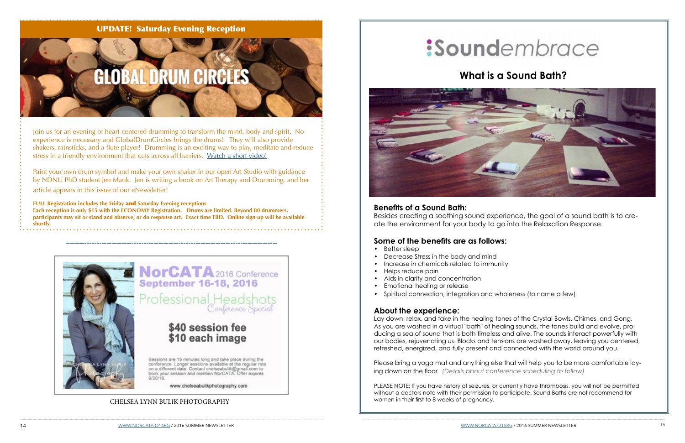#### UPDATE! Saturday Evening Reception

# GLOBAL DRUM CIRCLES

Join us for an evening of heart-centered drumming to transform the mind, body and spirit. No experience is necessary and GlobalDrumCircles brings the drums! They will also provide shakers, rainsticks, and a flute player! Drumming is an exciting way to play, meditate and reduce stress in a friendly environment that cuts across all barriers. [Watch a short video!](https://www.youtube.com/watch?v=0Hsxhrg2wYY&feature=youtu.be)

Paint your own drum symbol and make your own shaker in our open Art Studio with guidance by NDNU PhD student Jen Mank. Jen is writing a book on Art Therapy and Drumming, and her article appears in this issue of our eNewsletter!

**FULL Registration includes the Friday** and **Saturday Evening receptions Each reception is only \$15 with the ECONOMY Registration. Drums are limited. Beyond 80 drummers, participants may sit or stand and observe, or do response art. Exact time TBD. Online sign-up will be available shortly.**



NorCATA 2016 Conference **September 16-18, 2016** 

Professional Headshots

#### \$40 session fee \$10 each image

Sessions are 15 minutes long and take place during the<br>conference. Longer sessions available at the regular rate<br>on a different date. Contact chelseabulik@gmail.com to book your session and mention NorCATA. Offer expires

www.chelseabulikphotography.com

#### **Benefits of a Sound Bath:**

Besides creating a soothing sound experience, the goal of a sound bath is to create the environment for your body to go into the Relaxation Response.

#### **Some of the benefits are as follows:**

- Better sleep
- Decrease Stress in the body and mind
- Increase in chemicals related to immunity
- Helps reduce pain
- Aids in clarity and concentration
- Emotional healing or release
- Spiritual connection, integration and wholeness (to name a few)

#### **About the experience:**

Lay down, relax, and take in the healing tones of the Crystal Bowls, Chimes, and Gong. As you are washed in a virtual "bath" of healing sounds, the tones build and evolve, producing a sea of sound that is both timeless and alive. The sounds interact powerfully with our bodies, rejuvenating us. Blocks and tensions are washed away, leaving you centered, refreshed, energized, and fully present and connected with the world around you.

Please bring a yoga mat and anything else that will help you to be more comfortable laying down on the floor. *(Details about conference scheduling to follow)*

PLEASE NOTE: If you have history of seizures, or currently have thrombosis, you will not be permitted without a doctors note with their permission to participate. Sound Baths are not recommend for women in their first to 8 weeks of pregnancy.

# :Soundembrace

### **What is a Sound Bath?**

#### CHELSEA LYNN BULIK PHOTOGRAPHY